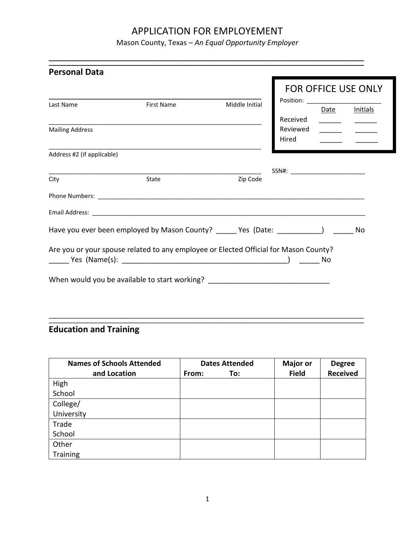Mason County, Texas – *An Equal Opportunity Employer*

**\_\_\_\_\_\_\_\_\_\_\_\_\_\_\_\_\_\_\_\_\_\_\_\_\_\_\_\_\_\_\_\_\_\_\_\_\_\_\_\_\_\_\_\_\_\_\_\_\_\_\_\_\_\_\_\_\_\_\_\_\_\_\_\_\_\_\_\_\_\_\_\_\_\_\_\_\_\_\_\_\_\_\_\_\_**

|                            |                                                                                      |                |                                    | FOR OFFICE USE ONLY      |          |
|----------------------------|--------------------------------------------------------------------------------------|----------------|------------------------------------|--------------------------|----------|
| Last Name                  | <b>First Name</b>                                                                    | Middle Initial |                                    | Date                     | Initials |
|                            |                                                                                      |                | Received                           | $\frac{1}{1}$            |          |
| <b>Mailing Address</b>     |                                                                                      |                | Reviewed                           | $\overline{\phantom{a}}$ |          |
|                            |                                                                                      |                | Hired                              |                          |          |
| Address #2 (if applicable) |                                                                                      |                |                                    |                          |          |
|                            |                                                                                      |                | $SSN#:$ __________________________ |                          |          |
| City                       | <b>State</b>                                                                         | Zip Code       |                                    |                          |          |
|                            |                                                                                      |                |                                    |                          |          |
|                            |                                                                                      |                |                                    |                          |          |
|                            | Have you ever been employed by Mason County? _____ Yes (Date: __________) ______     |                |                                    |                          | No       |
|                            | Are you or your spouse related to any employee or Elected Official for Mason County? |                |                                    |                          |          |
|                            |                                                                                      |                |                                    | No                       |          |
|                            |                                                                                      |                |                                    |                          |          |
|                            | When would you be available to start working? __________________________________     |                |                                    |                          |          |

# **Education and Training**

| <b>Names of Schools Attended</b> |       | <b>Dates Attended</b> | <b>Major or</b> | <b>Degree</b>   |
|----------------------------------|-------|-----------------------|-----------------|-----------------|
| and Location                     | From: | To:                   | <b>Field</b>    | <b>Received</b> |
| High                             |       |                       |                 |                 |
| School                           |       |                       |                 |                 |
| College/                         |       |                       |                 |                 |
| University                       |       |                       |                 |                 |
| Trade                            |       |                       |                 |                 |
| School                           |       |                       |                 |                 |
| Other                            |       |                       |                 |                 |
| Training                         |       |                       |                 |                 |

\_\_\_\_\_\_\_\_\_\_\_\_\_\_\_\_\_\_\_\_\_\_\_\_\_\_\_\_\_\_\_\_\_\_\_\_\_\_\_\_\_\_\_\_\_\_\_\_\_\_\_\_\_\_\_\_\_\_\_\_\_\_\_\_\_\_\_\_\_\_\_\_\_\_\_\_\_\_\_\_\_\_\_\_\_ \_\_\_\_\_\_\_\_\_\_\_\_\_\_\_\_\_\_\_\_\_\_\_\_\_\_\_\_\_\_\_\_\_\_\_\_\_\_\_\_\_\_\_\_\_\_\_\_\_\_\_\_\_\_\_\_\_\_\_\_\_\_\_\_\_\_\_\_\_\_\_\_\_\_\_\_\_\_\_\_\_\_\_\_\_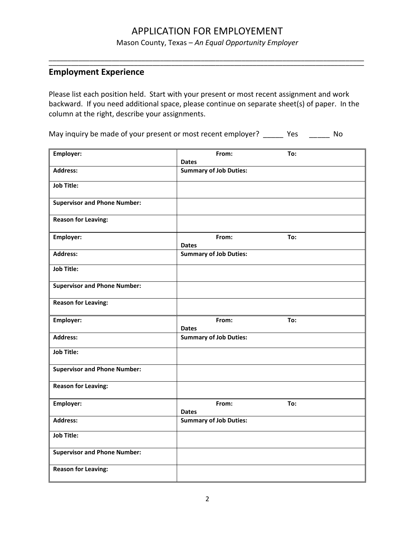Mason County, Texas – *An Equal Opportunity Employer*

\_\_\_\_\_\_\_\_\_\_\_\_\_\_\_\_\_\_\_\_\_\_\_\_\_\_\_\_\_\_\_\_\_\_\_\_\_\_\_\_\_\_\_\_\_\_\_\_\_\_\_\_\_\_\_\_\_\_\_\_\_\_\_\_\_\_\_\_\_\_\_\_\_\_\_\_\_\_\_\_\_\_\_\_\_ \_\_\_\_\_\_\_\_\_\_\_\_\_\_\_\_\_\_\_\_\_\_\_\_\_\_\_\_\_\_\_\_\_\_\_\_\_\_\_\_\_\_\_\_\_\_\_\_\_\_\_\_\_\_\_\_\_\_\_\_\_\_\_\_\_\_\_\_\_\_\_\_\_\_\_\_\_\_\_\_\_\_\_\_\_

### **Employment Experience**

Please list each position held. Start with your present or most recent assignment and work backward. If you need additional space, please continue on separate sheet(s) of paper. In the column at the right, describe your assignments.

May inquiry be made of your present or most recent employer? \_\_\_\_\_\_ Yes \_\_\_\_\_\_ No

| Employer:                           | From:                         | To: |  |
|-------------------------------------|-------------------------------|-----|--|
|                                     | <b>Dates</b>                  |     |  |
| <b>Address:</b>                     | <b>Summary of Job Duties:</b> |     |  |
| <b>Job Title:</b>                   |                               |     |  |
| <b>Supervisor and Phone Number:</b> |                               |     |  |
| <b>Reason for Leaving:</b>          |                               |     |  |
| Employer:                           | From:<br><b>Dates</b>         | To: |  |
| <b>Address:</b>                     | <b>Summary of Job Duties:</b> |     |  |
| <b>Job Title:</b>                   |                               |     |  |
| <b>Supervisor and Phone Number:</b> |                               |     |  |
| <b>Reason for Leaving:</b>          |                               |     |  |
| Employer:                           | From:<br><b>Dates</b>         | To: |  |
| <b>Address:</b>                     | <b>Summary of Job Duties:</b> |     |  |
| <b>Job Title:</b>                   |                               |     |  |
| <b>Supervisor and Phone Number:</b> |                               |     |  |
| <b>Reason for Leaving:</b>          |                               |     |  |
| Employer:                           | From:<br><b>Dates</b>         | To: |  |
| <b>Address:</b>                     | <b>Summary of Job Duties:</b> |     |  |
| <b>Job Title:</b>                   |                               |     |  |
| <b>Supervisor and Phone Number:</b> |                               |     |  |
| <b>Reason for Leaving:</b>          |                               |     |  |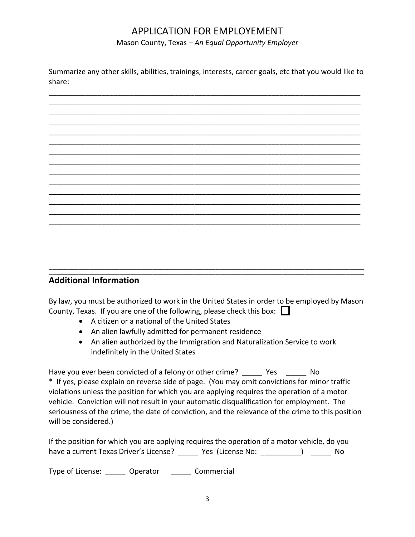Mason County, Texas – *An Equal Opportunity Employer*

Summarize any other skills, abilities, trainings, interests, career goals, etc that you would like to share:



#### \_\_\_\_\_\_\_\_\_\_\_\_\_\_\_\_\_\_\_\_\_\_\_\_\_\_\_\_\_\_\_\_\_\_\_\_\_\_\_\_\_\_\_\_\_\_\_\_\_\_\_\_\_\_\_\_\_\_\_\_\_\_\_\_\_\_\_\_\_\_\_\_\_\_\_\_\_\_\_\_\_\_\_\_\_ **Additional Information**

By law, you must be authorized to work in the United States in order to be employed by Mason County, Texas. If you are one of the following, please check this box:

\_\_\_\_\_\_\_\_\_\_\_\_\_\_\_\_\_\_\_\_\_\_\_\_\_\_\_\_\_\_\_\_\_\_\_\_\_\_\_\_\_\_\_\_\_\_\_\_\_\_\_\_\_\_\_\_\_\_\_\_\_\_\_\_\_\_\_\_\_\_\_\_\_\_\_\_\_\_\_\_\_\_\_\_\_

- A citizen or a national of the United States
- An alien lawfully admitted for permanent residence
- An alien authorized by the Immigration and Naturalization Service to work indefinitely in the United States

Have you ever been convicted of a felony or other crime? Thes The No \* If yes, please explain on reverse side of page. (You may omit convictions for minor traffic violations unless the position for which you are applying requires the operation of a motor vehicle. Conviction will not result in your automatic disqualification for employment. The seriousness of the crime, the date of conviction, and the relevance of the crime to this position will be considered.)

If the position for which you are applying requires the operation of a motor vehicle, do you have a current Texas Driver's License? The State of License No: The State of No

Type of License: **Operator** Commercial